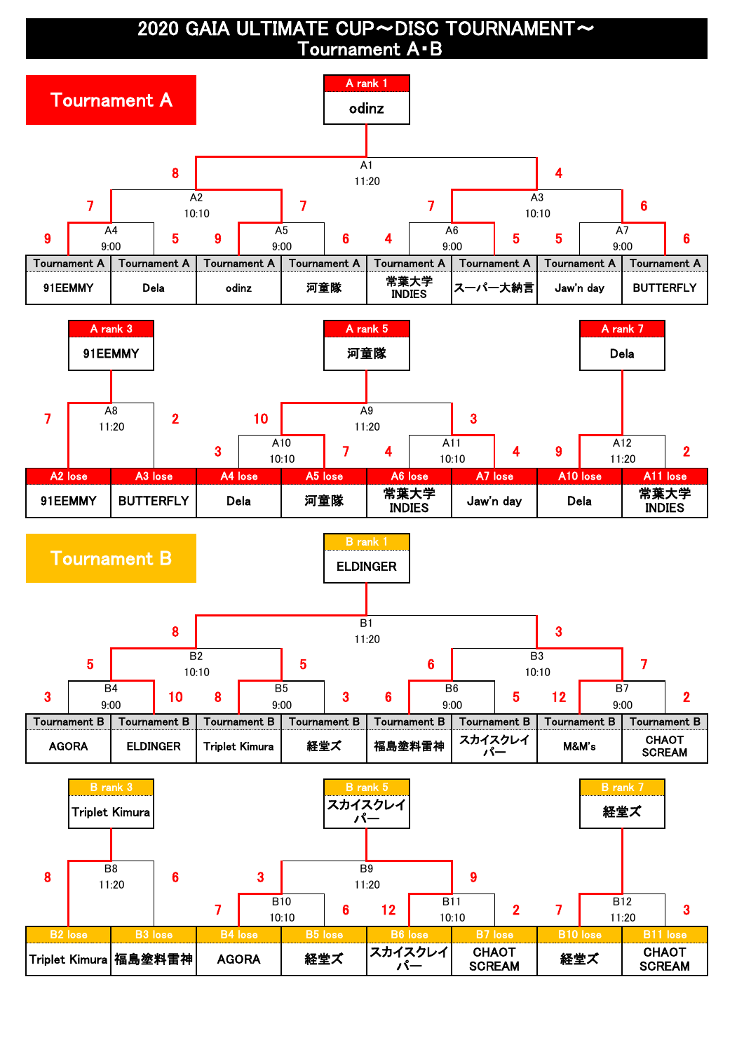2020 GAIA ULTIMATE CUP~DISC TOURNAMENT~ Tournament A・B

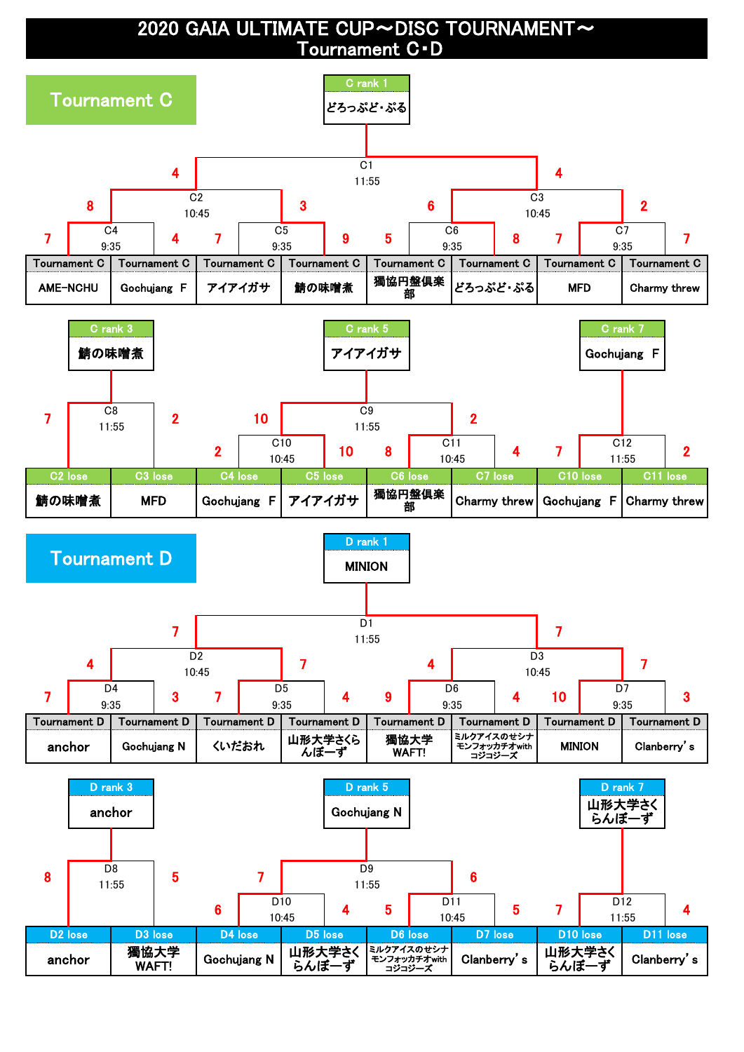2020 GAIA ULTIMATE CUP~DISC TOURNAMENT~ Tournament C・D

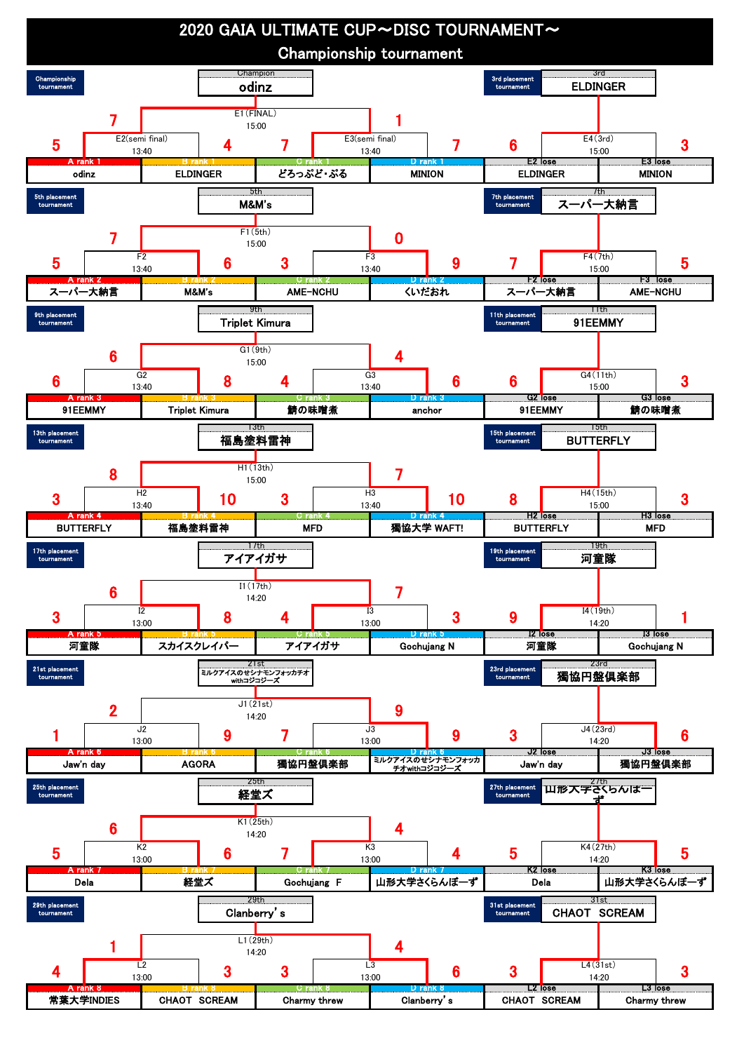